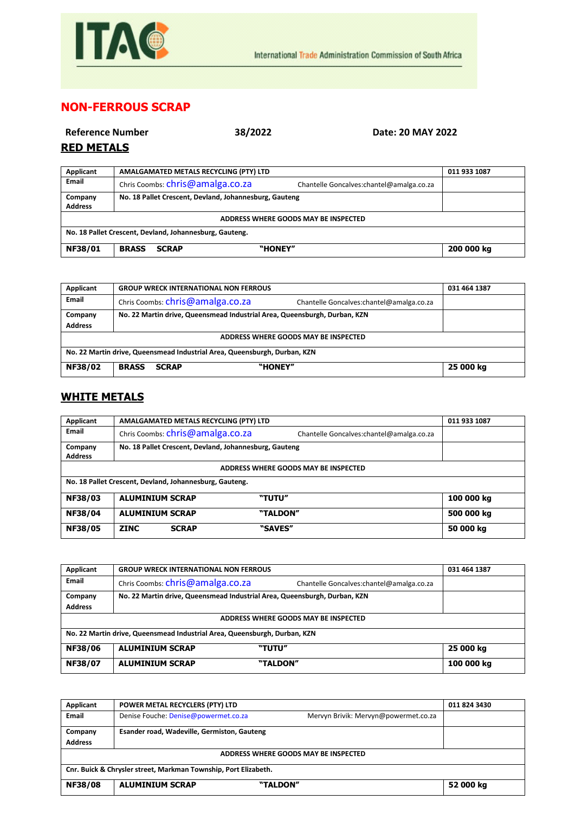

## **NON-FERROUS SCRAP**

| Reference Number<br><b>RED METALS</b> | 38/2022                                                | Date: 20 MAY 2022                         |              |
|---------------------------------------|--------------------------------------------------------|-------------------------------------------|--------------|
| Applicant                             | AMALGAMATED METALS RECYCLING (PTY) LTD                 |                                           | 011 933 1087 |
| Email                                 | Chris Coombs: chris@amalga.co.za                       | Chantelle Goncalves: chantel@amalga.co.za |              |
| Company<br><b>Address</b>             | No. 18 Pallet Crescent, Devland, Johannesburg, Gauteng |                                           |              |
| ADDRESS WHERE GOODS MAY BE INSPECTED  |                                                        |                                           |              |

**NF38/01 BRASS SCRAP "HONEY" 200 000 kg**

**No. 18 Pallet Crescent, Devland, Johannesburg, Gauteng.**

| Applicant                                                                 | <b>GROUP WRECK INTERNATIONAL NON FERROUS</b>                                  | 031 464 1387 |  |
|---------------------------------------------------------------------------|-------------------------------------------------------------------------------|--------------|--|
| Email                                                                     | Chris Coombs: chris@amalga.co.za<br>Chantelle Goncalves: chantel@amalga.co.za |              |  |
| Company                                                                   | No. 22 Martin drive, Queensmead Industrial Area, Queensburgh, Durban, KZN     |              |  |
| <b>Address</b>                                                            |                                                                               |              |  |
| ADDRESS WHERE GOODS MAY BE INSPECTED                                      |                                                                               |              |  |
| No. 22 Martin drive, Queensmead Industrial Area, Queensburgh, Durban, KZN |                                                                               |              |  |
| <b>NF38/02</b>                                                            | "HONEY"<br><b>BRASS</b><br><b>SCRAP</b>                                       | 25 000 kg    |  |

## **WHITE METALS**

| Applicant                                               | AMALGAMATED METALS RECYCLING (PTY) LTD                 |                                           | 011 933 1087 |  |
|---------------------------------------------------------|--------------------------------------------------------|-------------------------------------------|--------------|--|
| Email                                                   | Chris Coombs: chris@amalga.co.za                       | Chantelle Goncalves: chantel@amalga.co.za |              |  |
| Company                                                 | No. 18 Pallet Crescent, Devland, Johannesburg, Gauteng |                                           |              |  |
| <b>Address</b>                                          |                                                        |                                           |              |  |
| ADDRESS WHERE GOODS MAY BE INSPECTED                    |                                                        |                                           |              |  |
| No. 18 Pallet Crescent, Devland, Johannesburg, Gauteng. |                                                        |                                           |              |  |
| <b>NF38/03</b>                                          | <b>ALUMINIUM SCRAP</b>                                 | "TUTU"                                    | 100 000 kg   |  |
| <b>NF38/04</b>                                          | <b>ALUMINIUM SCRAP</b>                                 | "TALDON"                                  | 500 000 kg   |  |
| <b>NF38/05</b>                                          | <b>ZINC</b><br><b>SCRAP</b>                            | "SAVES"                                   | 50 000 kg    |  |

| Applicant                                                                 | <b>GROUP WRECK INTERNATIONAL NON FERROUS</b>                              |                                          | 031 464 1387 |
|---------------------------------------------------------------------------|---------------------------------------------------------------------------|------------------------------------------|--------------|
| <b>Email</b>                                                              | Chris Coombs: chris@amalga.co.za                                          | Chantelle Goncalves:chantel@amalga.co.za |              |
| Company                                                                   | No. 22 Martin drive, Queensmead Industrial Area, Queensburgh, Durban, KZN |                                          |              |
| <b>Address</b>                                                            |                                                                           |                                          |              |
| ADDRESS WHERE GOODS MAY BE INSPECTED                                      |                                                                           |                                          |              |
| No. 22 Martin drive, Queensmead Industrial Area, Queensburgh, Durban, KZN |                                                                           |                                          |              |
| NF38/06                                                                   | <b>ALUMINIUM SCRAP</b><br>"TUTU"                                          |                                          | 25 000 kg    |
| NF38/07                                                                   | <b>ALUMINIUM SCRAP</b><br>"TALDON"                                        |                                          | 100 000 kg   |

| Applicant                                                       | POWER METAL RECYCLERS (PTY) LTD             |                                      | 011 824 3430 |
|-----------------------------------------------------------------|---------------------------------------------|--------------------------------------|--------------|
| Email                                                           | Denise Fouche: Denise@powermet.co.za        | Mervyn Brivik: Mervyn@powermet.co.za |              |
| Company                                                         | Esander road, Wadeville, Germiston, Gauteng |                                      |              |
| <b>Address</b>                                                  |                                             |                                      |              |
| ADDRESS WHERE GOODS MAY BE INSPECTED                            |                                             |                                      |              |
| Cnr. Buick & Chrysler street, Markman Township, Port Elizabeth. |                                             |                                      |              |
| <b>NF38/08</b>                                                  | <b>ALUMINIUM SCRAP</b><br>"TALDON"          |                                      | 52 000 kg    |